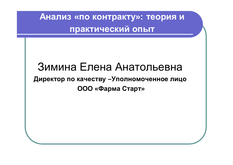# Зимина Елена Анатольевна Директор по качеству -Уполномоченное лицо **ООО «Фарма Старт»**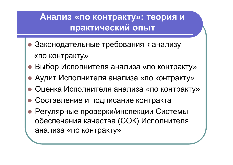- Законодательные требования к анализу «по контракту»
- Выбор Исполнителя анализа «по контракту»
- Аудит Исполнителя анализа «по контракту»
- Оценка Исполнителя анализа «по контракту»
- Составление и подписание контракта
- Регулярные проверки/инспекции Системы обеспечения качества (СОК) Исполнителя анализа «по контракту»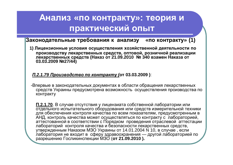**Законодательные требования к анализу «по контракту» (1)** 

1) Лицензионные условия осуществления хозяйственной деятельности по производству лекарственных средств, оптовой, розничной реализации Гекарственных средств (Наказ от 21.09.2010 № 340 взамен Наказа от **03.03.2009 ʋ27/44)** 

 $\Pi$ .2.1.79 Производство по контракту (от 03.03.2009):

-Впервые в законодательных документах в области обращения лекарственных средств Украины предусмотрена возможность осуществления производства по контракту

П.2.1.70. В случае отсутствия у лицензиата собственной лаборатории или отдельного испытательного оборудования или средств измерительной техники для обеспечения контроля качества по всем показателям, предусмотренным в АНД, контроль качества может осуществляться по контракту с лабораторией, аттестованной в соответствии с Порядком проведения отраслевой аттестации лабораторий контроля качества и безопасности лекарственных средств, утвержденным Наказом МЗО Украины от 14.01.2004 N 10, в случае, если лаборатория не входит в сферу здравоохранения — другой лабораторией по разрешению Госликинспекции МЗО (**от 21.09.2010).**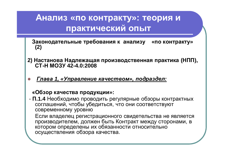Законодательные требования к анализу «по контракту» **(2)**

- 2) Настанова Надлежащая производственная практика (НПП), **ɋɌɇɆɈɁɍ 42-4.0:2008**
- $\Gamma$ лава 1, «Управление качеством», подраздел:

#### **©Ɉɛɡɨɪɤɚɱɟɫɬɜɚɩɪɨɞɭɤɰɢɢ»:**

- П.1.4 Необходимо проводить регулярные обзоры контрактных соглашений, чтобы убедиться, что они соответствуют современному уровню Если владелец регистрационного свидетельства не является производителем, должен быть Контракт между сторонами, в котором определены их обязанности относительно осуществления обзора качества.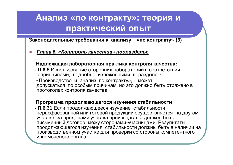$3a$ **конодательные требования к анализу «по контракту» (3)** 

 $I$ лава 6, «Контроль качества» подразделы:

#### Надлежащая лабораторная практика контроля качества:

- П.6.5 Использование сторонних лабораторий в соответствии с принципами, подробно изложенными в разделе 7 «Производство и анализ по контракту», может допускаться по особым причинам, но это должно быть отражено в протоколах контроля качества:

#### Программа продолжающегося изучения стабильности:

- П.6.31 Если продолжающееся изучение стабильности нерасфасованной или готовой продукции осуществляется на другом участке, за пределами участка производства, должен быть письменный договор межу сторонами-учасницами. Результаты продолжающегося изучения стабильности должны быть в наличии на производственном участке для проверки со стороны компетентного улномоченого органа.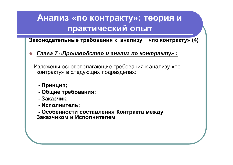Законодательные требования к анализу «по контракту» (4)

Глава 7 «Производство и анализ по контракту» :

Изложены основополагающие требования к анализу «по контракту» в следующих подразделах:

- Принцип;
- Общие требования;
- Заказчик;
- Исполнитель;

- Особенности составления Контракта между Заказчиком и Исполнителем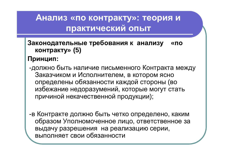#### Законодательные требования к анализу «по **контракту»** (5)

#### Принцип:

-должно быть наличие письменного Контракта между Заказчиком и Исполнителем, в котором ясно определены обязанности каждой стороны (во избежание недоразумений, которые могут стать причиной некачественной продукции);

- в Контракте должно быть четко определено, каким образом Уполномоченное лицо, ответственное за выдачу разрешения на реализацию серии, выполняет свои обязанности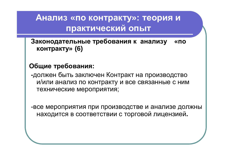Законодательные требования к анализу «по контракту» (6)

#### Общие требования:

-должен быть заключен Контракт на производство и/или анализ по контракту и все связанные с ним технические мероприятия;

-все мероприятия при производстве и анализе должны находится в соответствии с торговой лицензией.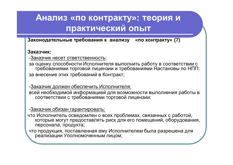$3a$ **конодательные требования к анализу «по контракту» (7)** 

#### $3a$ казчик:

-Заказчик несет ответственность:

за оценку способности Исполнителя выполнить работу в соответствии с требованиями торговой лицензии и требованиями Настановы по НПП; за внесение этих требований в Контракт;

-Заказчик должен обеспечить Исполнителя:

всей необходимой информацией для возможности выполнения работы в соответствии с требованиями торговой лицензии;

#### -Заказчик обязан гарантировать:

что Исполнитель осведомлен о всех проблемах, связанных с работой, которые могут предоставлять риск для его помещений, оборудования, персонала, продукта;

что продукция, поставленная ему Исполнителем была разрешена для реализации Уполномоченным лицом;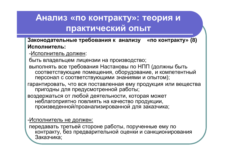#### Законодательные требования к анализу «по контракту» (8) Исполнитель:

-Исполнитель должен:

быть владельцем лицензии на производство;

выполнять все требования Настановы по НПП (должны быть соответствующие помещения, оборудование, и компетентный персонал с соответствующими знаниями и опытом);

гарантировать, что вся поставленная ему продукция или вещества пригодны для предусмотренной работы;

воздержаться от любой деятельности, которая может неблагоприятно повлиять на качество продукции, произведенной/проанализированной для заказчика;

-Исполнитель не должен:

передавать третьей стороне работы, порученные ему по контракту, без предварительной оценки и санкционирования Заказчика;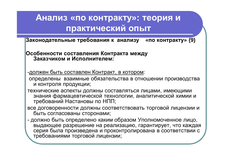Законодательные требования к анализу «по контракту» (9)

#### **Особенности составления Контракта между** Заказчиком и Исполнителем:

-должен быть составлен Контракт, в котором:

определены взаимные обязательства в отношении производства и контроля продукции;

технические аспекты должны составляться лицами, имеющими знания фармацевтической технологии, аналитической химии и требований Настановы по НПП;

все договоренности должны соответствовать торговой лицензии и быть согласованы сторонами;

- должно быть определено каким образом Уполномоченное лицо, выдающее разрешение на реализацию, гарантирует, что каждая серия была произведена и проконтролирована в соответствии с требованиями торговой лицензии;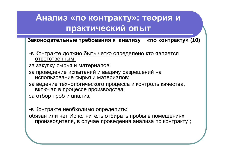$\overline{3}$ **аконодательные требования к анализу «по контракту» (10)** 

-в Контракте должно быть четко определено кто является ответственным:

за закупку сырья и материалов;

за проведение испытаний и выдачу разрешений на использование сырья и материалов;

за ведение технологического процесса и контроль качества, включая в процессе производства;

за отбор проб и анализ;

-в Контракте необходимо определить:

обязан или нет Исполнитель отбирать пробы в помещениях производителя, в случае проведения анализа по контракту ;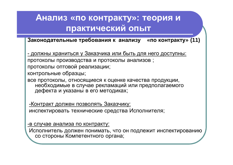Законодательные требования к анализу «по контракту» (11)

- должны храниться у Заказчика или быть для него доступны:

протоколы производства и протоколы анализов;

протоколы оптовой реализации;

контрольные образцы;

все протоколы, относящиеся к оценке качества продукции, необходимые в случае рекламаций или предполагаемого дефекта и указаны в его методиках;

- Контракт должен позволять Заказчику: инспектировать технические средства Исполнителя;

-в случае анализа по контракту:

Исполнитель должен понимать, что он подлежит инспектированию со стороны Компетентного органа;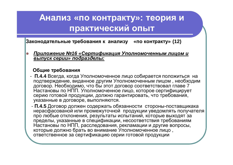**Законодательные требования к анализу «по контракту» (12)** 

<u> Приложение №16 «Сертификация Уполномоченным лицом и</u>  $\overline{B}_1$ **BIIIУСК СЕРИИ» ПОДРАЗДЕЛЬІ:** 

#### Общие требования

- П.4.4 Всегда, когда Уполномоченное лицо собирается положиться на подтверждение, виданное другим Уполномоченным лицом, необходим договор. Необходимо, что бы этот договор соответствовал главе 7 Настановы по НПП. Уполномоченное лицо, которое сертифицирует серию готовой продукции, должно гарантировать, что требования, указанные в договоре, выполняются.
- П.4.5 Договор должен содержать обязанности стороны-поставщикака нерасфасованой или промежуточной продукции уведомлять получателя про любые отклонения, результаты испытаний, которые выходят за пределы, указанные в спецификации, несоответствия требованиям Настановы по НПП, расследования, рекламации и другие вопросы, которые должно брать во внимание Уполномоченное лицо, ответственное за сертификацию серии готовой продукции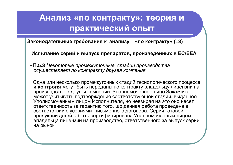Законодательные требования к анализу «по контракту» (13)

Испытание серий и выпуск препаратов, произведенных в ЕС/ЕЕА

**- П.5.3 Некоторые промежуточные стадии производства**  $\sigma$ **существляет по контракту другая компания** 

Одна или несколько промежуточных стадий технологического процесса **и контроля** могут быть переданы по контракту владельцу лицензии на производство в другой компании. Уполномоченное лицо Заказчика может учитывать подтверждение соответствующей стадии, выданное Уполномоченным лицом Исполнителя, но невзирая на это оно несет ответственность за гарантию того, що данная работа проведена в соответствии с усовиями письменного договора. Серия готовой <u>изотного статите усовият тителистиков договорите сертистикато с</u> владельца лицензии на производство, ответственного за выпуск серии на рынок.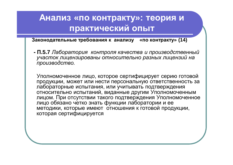Законодательные требования к анализу «по контракту» (14)

**- П.5.7** Лаборатория контроля качества и производственный участок лицензированы относительно разных лицензий на *производство.* 

Уполномоченное лицо, которое сертифицирует серию готовой продукции, может или нести персональную ответственность за лабораторные испытания, или учитывать подтверждения относительно испытаний, виданные другим Уполномоченным лицом. При отсутствии такого подтверждения Уполномоченное лицо обязано четко знать функции лаборатории и ее методики, которые имеют отношения к готовой продукции. которая сертифицируется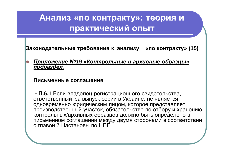$3a$ **конодательные требования к анализу «по контракту» (15)** 

Приложение №19 «Контрольные и архивные образцы»  $\overline{nod}$ *paздел*:

#### Письменные соглашения

**- П.6.1** Если владелец регистрационного свидетельства, ответственный за выпуск серии в Украине, не является одновременно юридическим лицом, которое представляет производственный участок, обязательство по отбору и хранению контрольных/архивных образцов должно быть определено в письменном соглашении между двумя сторонами в соответствии с главой 7 Настановы по НПП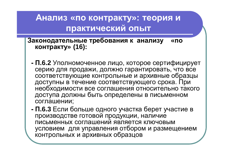Законодательные требования к анализу «по контракту» (16):

- **П.6.2** Уполномоченное лицо, которое сертифицирует серию для продажи, должно гарантировать, что все соответствующие контрольные и архивные образцы доступны в течение соответствующего срока. При необходимости все соглашения относительно такого доступа должны быть определены в письменном соглашении;
- **П.6.3** Если больше одного участка берет участие в производстве готовой продукции, наличие письменных соглашений является ключовым условием для управления отбором и размещением контрольных и архивных образцов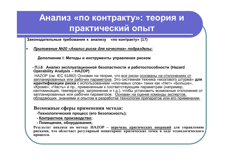Законодательные требования к анализу «по контракту» (17)

 $\Pi$ риложение №20 «Анализ риска для качества» подразделы:

Дополнение I: Методы и инструменты управления риском

 **ɉ.I.6 Ⱥɧɚɥɢɡɷɤɫɩɥɭɚɬɚɰɢɨɧɧɨɣɛɟɡɨɩɚɫɬɧɨɫɬɢɢɪɚɛɨɬɨɫɩɨɫɨɛɧɨɫɬɢ (Hazard Operability Analysis – HAZOP)**

НАZОР (см. IEC 61882) Основан на теории, что все риски основаны на отклонениях от запланированных или рабочих параметров. Это системная техника «мозгового штурма» для **идентификации риска** с использованием «ключевых слов» таких как «Нет» «Больше», «Кроме», «Часть» и пр., примененным к соответствующим параметрам (например, кантоминация, температура, загрязнение и т.д.), чтобы установить возможные отклонения от запланированных или рабочих параметров. Основан на оценке команды экспертов, обладающих знаниями и опытом в разработке технологии препаратов или его применении.

#### Возможные сферы применения метода:

**- Технологический процесс (его безопасность);** 

**- Контрактное производство;** 

 $\cdot$  Помещения, оборудования;

Результат анализа по методу НАZОР – перечень критических операций для управлению рисками, что облегчает регулярный мониторинг критических точек в ходе технологического процесса.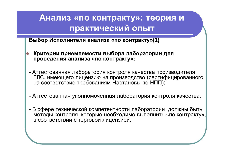Выбор Исполнителя анализа «по контракту»(1)

- Критерии приемлемости выбора лаборатории для проведения анализа «по контракту»:
- Аттестованная лаборатория контроля качества производителя ГЛС, имеющего лицензию на производство (сертифицированного на соответствие требованиям Настановы по НПП);
- Аттестованная уполномоченная лаборатория контроля качества;
- В сфере технической компетентности лаборатории должны быть методы контроля, которые необходимо выполнить «по контракту», в соответствии с торговой лицензией;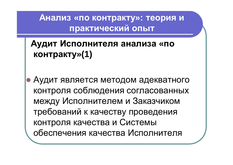Аудит Исполнителя анализа «по контракту»(1)

Аудит является методом адекватного контроля соблюдения согласованных между Исполнителем и Заказчиком требований к качеству проведения контроля качества и Системы обеспечения качества Исполнителя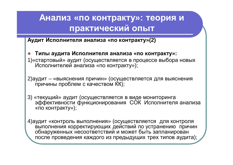**Ⱥɭɞɢɬɂɫɩɨɥɧɢɬɟɥɹɚɧɚɥɢɡɚ «ɩɨɤɨɧɬɪɚɤɬɭ»(2)**

z **Ɍɢɩɵɚɭɞɢɬɚɂɫɩɨɥɧɢɬɟɥɹɚɧɚɥɢɡɚ «ɩɨɤɨɧɬɪɚɤɬɭ»:** 1) «стартовый» аудит (осуществляется в процессе выбора новых Исполнителей анализа «по контракту»);

2) аудит – «выяснения причин» (осуществляется для выяснения причины проблем с качеством KK);

3) «текущий» аудит (осуществляется в виде мониторинга эффективности функционирования СОК Исполнителя анализа «по контракту»);

4) аудит «контроль выполнения» (осуществляется для контроля выполнения корректирующих действий по устранению причин обнаруженных несоответствий и может быть запланирован после проведения каждого из предыдущих трех типов аудита);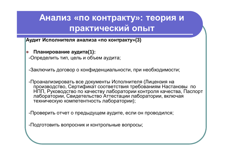**Исполнителя анализа «по контракту»(3)** 

Планирование аудита(1):

-Определить тип, цель и объем аудита;

-Заключить договор о конфиденциальности, при необходимости;

- Проанализировать все документы Исполнителя (Лицензия на производство, Сертификат соответствия требованиям Настановы по НПП, Руководство по качеству лаборатории контроля качества, Паспорт лаборатории, Свидетельство Аттестации лаборатории, включая техническую компетентность лаборатории);

-Проверить отчет о предыдущем аудите, если он проводился;

- Подготовить вопросник и контрольные вопросы;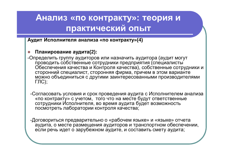**Аудит Исполнителя анализа «по контракту»(4)** 

#### Планирование аудита(2):

- -Определить группу аудиторов или назначить аудитора (аудит могут проводить собственные сотрудники предприятия (специалисты Обеспечения качества и Контроля качества), собственные сотрудники и сторонний специалист, сторонняя фирма, причем в этом варианте можно объединиться с другими заинтересованными производителями  $\Gamma$ ЛС):
	- -Согласовать условия и срок проведения аудита с Исполнителем анализа «по контракту» с учетом, того что на месте будут ответственные сотрудники Исполнителя, во время аудита будет возможность посмотреть лаборатории контроля качества;

-Договориться предварительно о «рабочем языке» и «языке» отчета аудита, о месте размещения аудиторов и транспортном обеспечении, если речь идет о зарубежном аудите, и составить смету аудита;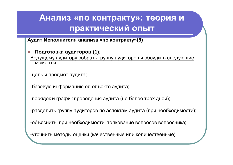**Ⱥɭɞɢɬɂɫɩɨɥɧɢɬɟɥɹɚɧɚɥɢɡɚ «ɩɨɤɨɧɬɪɚɤɬɭ»(5)**

Подготовка аудиторов (1): Ведущему аудитору собрать группу аудиторов и обсудить следующие **МОМЕНТЫ:** 

-цель и предмет аудита;

-базовую информацию об объекте аудита;

-порядок и график проведения аудита (не более трех дней);

-разделить группу аудиторов по аспектам аудита (при необходимости);

-объяснить, при необходимости толкование вопросов вопросника;

-уточнить методы оценки (качественные или количественные)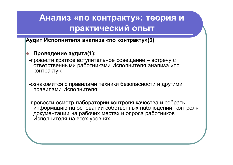**Аудит Исполнителя анализа «по контракту»**(6)

- Проведение аудита(1):
- -провести краткое вступительное совещание встречу с ответственными работниками Исполнителя анализа «по контракту»;

-ознакомится с правилами техники безопасности и другими правилами Исполнителя;

-провести осмотр лабораторий контроля качества и собрать информацию на основании собственных наблюдений, контроля документации на рабочих местах и опроса работников Исполнителя на всех уровнях;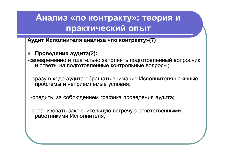**Аудит Исполнителя анализа «по контракту»(7)** 

Проведение аудита(2):

-своевременно и тщательно заполнять подготовленный вопросник и ответы на подготовленные контрольные вопросы;

-сразу в ходе аудита обращать внимание Исполнителя на явные проблемы и неприемлемые условия;

-следить за соблюдением графика проведения аудита;

-организовать заключительную встречу с ответственными работниками Исполнителя;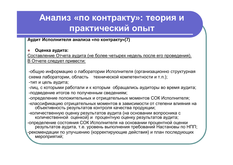#### **Ⱥɭɞɢɬɂɫɩɨɥɧɢɬɟɥɹɚɧɚɥɢɡɚ «ɩɨɤɨɧɬɪɚɤɬɭ»(7)**

#### **Оценка аудита:**

Составление Отчета аудита (не более четырех недель после его проведения). В Отчете следует привести:

-общую информацию о лаборатории Исполнителя (организационно структурная схема лаборатории, область технической компетентности и т.п.);

-тип и цель аудита;

-лиц, с которыми работали и к которым обращались аудиторы во время аудита; -подведение итогов по полученным сведениям:

-определение положительных и отрицательных моментов СОК Исполнителя;

-классификацию отрицательных моментов в зависимости от степени влияния на объективность результатов контроля качества продукции;

-количественную оценку результатов аудита (на основании вопросника с количественной оценкой) и процентную оценку результатов аудита;

-определение состояния СОК Исполнителя на основании процентной оценки иезультатов аудита, т.е. уровень выполнения требований Настановы по НПП; -рекомендации по улучшению (корректирующие действия) и план последующих мероприятий: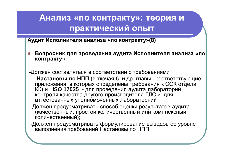Аудит Исполнителя анализа «по контракту»(8)

Вопросник для проведения аудита Исполнителя анализа «по контракту»:

-Должен составляться в соответствии с требованиями

Настановы по НПП (включая 6 и др. главы, соответствующие приложения, в которых определены требования к СОК отдела КК) и ISO 17025 - для проведения аудита лабораторий контроля качества другого производителя ГЛС и для

- -Должен предусматривать способ оценки результатов аудита (качественный, простой количественный или комплексный количественный);
- -Должен предусматривать формулирование выводов об уровне выполнения требований Настановы по НПП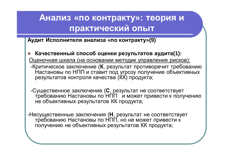**Ⱥɭɞɢɬɂɫɩɨɥɧɢɬɟɥɹɚɧɚɥɢɡɚ «ɩɨɤɨɧɬɪɚɤɬɭ»(9)**

- Качественный способ оценки результатов аудита(1): Оценочная шкала (на основании методик управления рисков):
- Критическое заключение (К, результат противоречит требованию Настановы по НПП и ставит под угрозу получение объективных результатов контроля качества (ЌЌ) продукта;
- -Существенное заключение (С, результат не соответствует требованию Настановы по НПП и может привести к получению не объективных результатов КК продукта;
- -Несущественные заключения (H, результат не соответствует требованию Настановы по НПП, но не может привести к получению не объективных результатов КК продукта;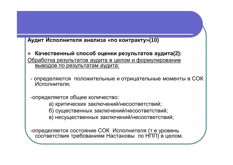#### Аудит Исполнителя анализа «по контракту»(10)

- Качественный способ оценки результатов аудита(2): Обработка результатов аудита в целом и формулирование выводов по результатам аудита:
	- определяются положительные и отрицательные моменты в СОК Исполнителя:

-определяется общее количество:

- а) критических заключений/несоответствий;
- б) существенных заключений/несоответствий;
- в) несущественных заключений/несоответствий;

-определяется состояние СОК Исполнителя (т.е уровень соответствия требованиям Настановы по НПП) в целом.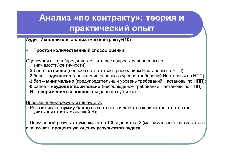**ИЗГОВ В ХУДИТ ИСПОЛНИТЕЛЯ АНАЛИЗА «ПО КОНТРАКТУ»(10)** 

|  | Простой количественный способ оценки: |  |
|--|---------------------------------------|--|
|  |                                       |  |

Оценочная шкала (предполагает, что все вопросы равноценны по значимости/критичности):

-**3** бала - **отлично** (полное соответствие требованиям Настановы по НПП);

-**2** бала – **адекватно** (достижение основного уровня требований Настановы по НПП);

-1 бал – минимально (предупредительный уровень требований Настановы по НПП);

-**0** балов – неудовлетворительно (несоблюдение требований Настановы по НПП);

-**Н** – неприменимый вопрос для данного субъекта.

Простая оценка результатов аудита:

-Рассчитывают сумму балов всех ответов и делят на количество ответов (не учитывая ответы с оценкой **H**);

-Полученный результат умножают на 100 и делят на 3 (максимальный бал за ответ) и получают процентную оценку результатов аудита;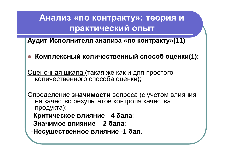**Ⱥɭɞɢɬɂɫɩɨɥɧɢɬɟɥɹɚɧɚɥɢɡɚ «ɩɨɤɨɧɬɪɚɤɬɭ»(11)**

Комплексный количественный способ оценки(1):

Оценочная шкала (такая же как и для простого количественного способа оценки);

Определение значимости вопроса (с учетом влияния на качество результатов контроля качества продукта):

- Критическое влияние - 4 бала;

-Значимое влияние - 2 бала;

- Несущественное влияние -1 бал.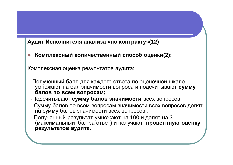#### Аудит Исполнителя анализа «по контракту»(12)

Комплексный количественный способ оценки(2):

Комплексная оценка результатов аудита:

- -Полученный балл для каждого ответа по оценочной шкале умножают на бал значимости вопроса и подсчитывают сумму балов по всем вопросам;
- -Подсчитывают сумму балов значимости всех вопросов;
- Сумму балов по всем вопросам значимости всех вопросов делят на сумму балов значимости всех вопросов;
- Полученный результат умножают на 100 и делят на 3 (максимальный бал за ответ) и получают процентную оценку результатов аудита.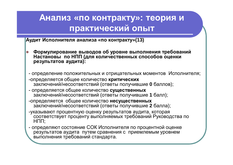**Исполнителя анализа «по контракту»(13)** 

- Формулирование выводов об уровне выполнения требований Настановы по НПП (для количественных способов оценки **результатов аудита):**
- определение положительных и отрицательных моментов Исполнителя;
- -определяется общее количество критических заключений/несоответствий (ответы получившие 0 баллов);
- <u>- определяется общее количество **существенных**</u> заключений/несоответствий (ответы получившие 1 балл);
- -определяется общее количество несущественных заключений/несоответствий (ответы получившие 2 балла);
- указывают процентную оценку результатов аудита, которая соответствует проценту выполняемых требований Руководства по  $H \Pi \Pi$ :
- $\cdot$  определяют состояние СОК Исполнителя по процентной оценке результатов аудита путем сравнения с приемлемым уровнем выполнения требований стандарта.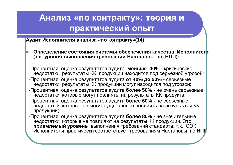**Исполнителя анализа «по контракту»(14)** 

- Определение состояния системы обеспечения качества Исполнителя  $(7. e. y)$ ровня выполнения требований Настановы по НПП):
- Процентная оценка результатов аудита меньше 40% критические недостатки, результаты КК продукции находится под серьезной угрозой;
- Процентная оценка результатов аудита от 40% до 50% серьезные недостатки, результаты КК продукции могут находится под угрозой;
- Процентная оценка результатов аудита более 50% не очень серьезные недостатки, которые могут повлиять на результаты КК продукта;
- Процентная оценка результатов аудита **более 60% -** не серьезные недостатки, которые не могут существенно повлиять на результаты КК продукции;
- Процентная оценка результатов аудита более 80% не значительные недостатки, которые не повлияют на результаты КК продукции. Это приемлемый уровень выполнения требований стандарта, т.к. СОК Исполнителя практически соответствует требованиям Настановы по НПП;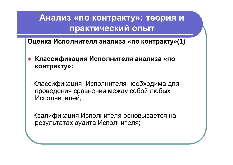Оценка Исполнителя анализа «по контракту»(1)

Классификация Исполнителя анализа «по контракту»:

-Классификация Исполнителя необходима для проведения сравнения между собой любых Исполнителей;

-Квалификация Исполнителя основывается на результатах аудита Исполнителя;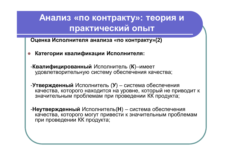**Ɉɰɟɧɤɚɂɫɩɨɥɧɢɬɟɥɹɚɧɚɥɢɡɚ «ɩɨɤɨɧɬɪɚɤɬɭ»(2)**

- Категории квалификации Исполнителя:
- -**Квалифицированный** Исполнитель (К)–имеет удовлетворительную систему обеспечения качества;
- -**Утвержденный** Исполнитель (У) система обеспечения качества, которого находится на уровне, который не приводит к значительным проблемам при проведении КК продукта;

-**Неутвержденный** Исполнитель(H) – система обеспечения качества, которого могут привести к значительным проблемам при проведении КК продукта;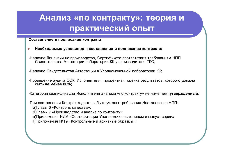#### Составление и подписание контракта

- Необходимые условия для составления и подписания контракта:
- -Наличие Лицензии на производство, Сертификата соответствия требованиям НПП жить в инденении по преповедотво, в органите осотвологии прост

-Наличие Свидетельства Аттестации в Уполномоченной лаборатории КК;

- Проведение аудита СОК Исполнителя, процентная оценка результатов, которого должна ɛɵɬɶ **ɧɟɦɟɧɟɟ 80%;**

-Категория квалификации Исполнителя анализа «по контракту» не ниже чем, **утвержденный;** 

- При составлении Контракта должны быть учтены требования Настановы по НПП:
	- а) Главы 6 «Контроль качества»:
	- б) Главы 7 «Производство и анализ по контракту»;
	- в) Приложения №16 «Сертификация Уполномоченным лицом и выпуск серии»;
	- г) Приложения №19 «Контрольные и архивные образцы»;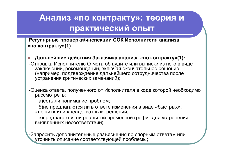Регулярные проверки/инспекции СОК Исполнителя анализа «по контракту»(1)

Дальнейшие действия Заказчика анализа «по контракту»(1):

-Отправка Исполнителю Отчета об аудите или выписки из него в виде заключений, рекомендаций, включая окончательное решение (например, подтверждение дальнейшего сотрудничества после устранения критических замечаний);

-Оценка ответа, полученного от Исполнителя в ходе которой необходимо рассмотреть:

а)есть ли понимание проблем;

б) не предлагаются ли в ответе изменения в виде «быстрых», «легких» или «неадекватных» решений;

в)предлагается ли реальный временной график для устранения выявленных несоответствий:

-Запросить дополнительные разъяснения по спорным ответам или уточнить описание соответствующей проблемы;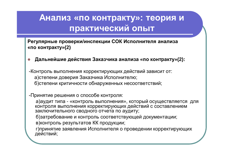Регулярные проверки/инспекции СОК Исполнителя анализа «по контракту»(2)

Дальнейшие действия Заказчика анализа «по контракту»(2):

-Контроль выполнения корректирующих действий зависит от: а)степени доверия Заказчика Исполнителю; б)степени критичности обнаруженных несоответствий;

- Принятие решения о способе контроля:

а)аудит типа - «контроль выполнения», который осуществляется для контроля выполнения корректирующих действий с составлением заключительного сводного отчета по аудиту;

б)затребование и контроль соответствующей документации;

в) контроль результатов КК продукции;

г) принятие заявления Исполнителя о проведении корректирующих действий;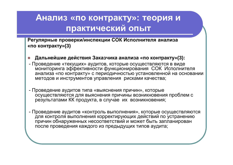Регулярные проверки/инспекции СОК Исполнителя анализа «по контракту»(3)

- Дальнейшие действия Заказчика анализа «по контракту»(3):
- Проведение «текущих» аудитов, которые осуществляются в виде мониторинга эффективности функционирования СОК Исполнителя анализа «по контракту» с периодичностью установленной на основании методов и инструментов управления рисками качества;
- Проведение аудитов типа «выяснения причин», которые осуществляются для выяснения причины возникновения проблем с результатами КК продукта, в случае их возникновения;
- Проведение аудитов «контроль выполнения», которые осуществляются для контроля выполнения корректирующих действий по устранению причин обнаруженных несоответствий и может быть запланирован после проведения каждого из предыдущих типов аудита;